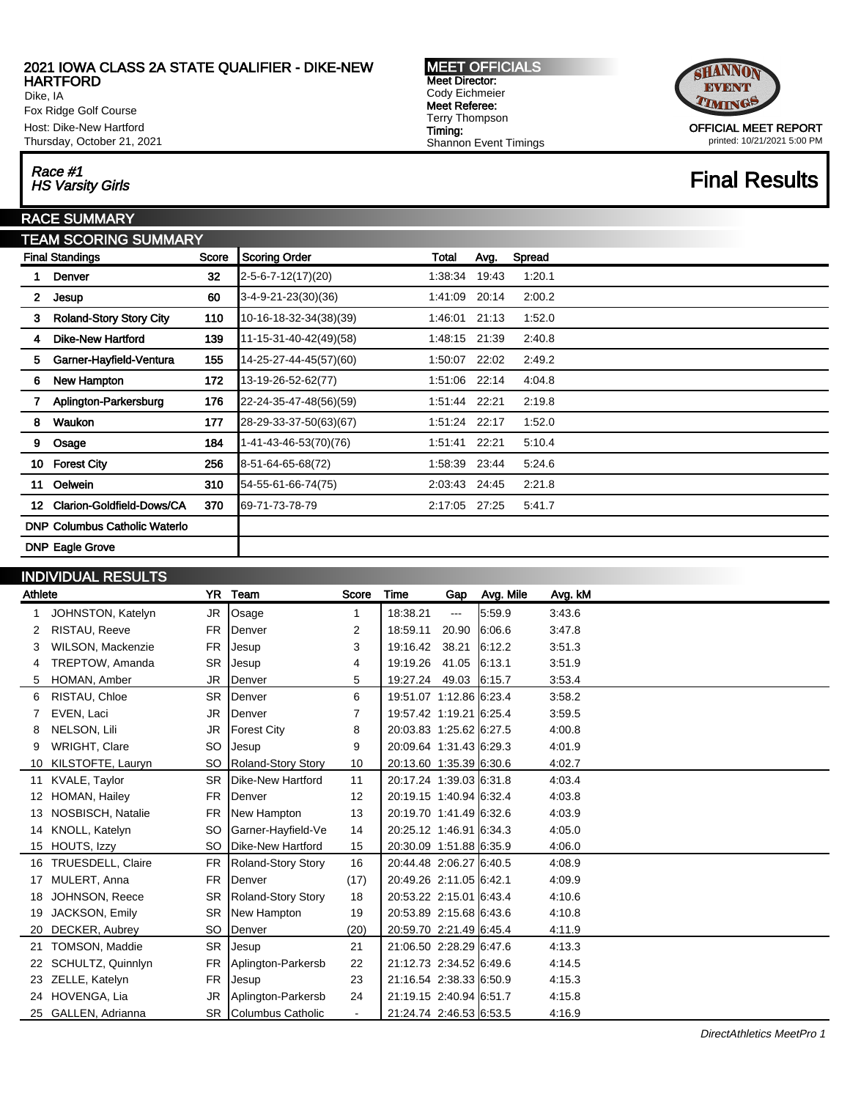Dike, IA Fox Ridge Golf Course Host: Dike-New Hartford

Thursday, October 21, 2021

#### MEET OFFICIALS Meet Director: Cody Eichmeier Meet Referee: Terry Thompson Timing: Shannon Event Timings



printed: 10/21/2021 5:00 PM

## **Final Results**

# Race #1<br>HS Varsity Girls

|                 | <b>RACE SUMMARY</b>                  |       |                              |         |       |        |  |  |  |  |  |
|-----------------|--------------------------------------|-------|------------------------------|---------|-------|--------|--|--|--|--|--|
|                 | <b>TEAM SCORING SUMMARY</b>          |       |                              |         |       |        |  |  |  |  |  |
|                 | <b>Final Standings</b>               | Score | <b>Scoring Order</b>         | Total   | Avg.  | Spread |  |  |  |  |  |
|                 | Denver                               | 32    | $2 - 5 - 6 - 7 - 12(17)(20)$ | 1:38:34 | 19:43 | 1:20.1 |  |  |  |  |  |
| $\mathbf{2}^-$  | Jesup                                | 60    | 3-4-9-21-23(30)(36)          | 1:41:09 | 20:14 | 2:00.2 |  |  |  |  |  |
| 3.              | <b>Roland-Story Story City</b>       | 110   | 10-16-18-32-34(38)(39)       | 1:46:01 | 21:13 | 1:52.0 |  |  |  |  |  |
| 4               | <b>Dike-New Hartford</b>             | 139   | 11-15-31-40-42(49)(58)       | 1:48:15 | 21:39 | 2:40.8 |  |  |  |  |  |
| 5.              | Garner-Hayfield-Ventura              | 155   | 14-25-27-44-45(57)(60)       | 1:50:07 | 22:02 | 2:49.2 |  |  |  |  |  |
| 6               | New Hampton                          | 172   | 13-19-26-52-62(77)           | 1:51:06 | 22:14 | 4:04.8 |  |  |  |  |  |
| 7               | Aplington-Parkersburg                | 176   | 22-24-35-47-48(56)(59)       | 1:51:44 | 22:21 | 2:19.8 |  |  |  |  |  |
| 8               | Waukon                               | 177   | 28-29-33-37-50(63)(67)       | 1:51:24 | 22:17 | 1:52.0 |  |  |  |  |  |
| 9.              | Osage                                | 184   | 1-41-43-46-53(70)(76)        | 1.51.41 | 22:21 | 5:10.4 |  |  |  |  |  |
| 10              | <b>Forest City</b>                   | 256   | 8-51-64-65-68(72)            | 1:58:39 | 23:44 | 5:24.6 |  |  |  |  |  |
| 11              | Oelwein                              | 310   | 54-55-61-66-74(75)           | 2:03:43 | 24:45 | 2:21.8 |  |  |  |  |  |
| 12 <sup>°</sup> | Clarion-Goldfield-Dows/CA            | 370   | 69-71-73-78-79               | 2:17:05 | 27:25 | 5.41.7 |  |  |  |  |  |
|                 | <b>DNP Columbus Catholic Waterlo</b> |       |                              |         |       |        |  |  |  |  |  |
|                 | <b>DNP Eagle Grove</b>               |       |                              |         |       |        |  |  |  |  |  |

#### INDIVIDUAL RESULTS

| Athlete |                      | YR.       | Team                 | Score             | Time                    | Gap            | Avg. Mile | Avg. kM |
|---------|----------------------|-----------|----------------------|-------------------|-------------------------|----------------|-----------|---------|
|         | JOHNSTON, Katelyn    | JR        | Osage                | $\mathbf{1}$      | 18:38.21                | $\overline{a}$ | 5:59.9    | 3:43.6  |
| 2       | RISTAU, Reeve        | <b>FR</b> | Denver               | 2                 | 18:59.11                | 20.90          | 6:06.6    | 3:47.8  |
|         | WILSON, Mackenzie    | <b>FR</b> | Jesup                | 3                 | 19:16.42                | 38.21          | 6:12.2    | 3:51.3  |
|         | TREPTOW, Amanda      | <b>SR</b> | Jesup                | 4                 | 19:19.26                | 41.05          | 6:13.1    | 3:51.9  |
| 5       | HOMAN, Amber         | JR.       | Denver               | 5                 | 19:27.24                | 49.03          | 6:15.7    | 3:53.4  |
| 6       | RISTAU, Chloe        | <b>SR</b> | Denver               | 6                 | 19:51.07 1:12.86 6:23.4 |                |           | 3:58.2  |
|         | EVEN, Laci           | JR.       | Denver               | $\overline{7}$    | 19:57.42 1:19.21 6:25.4 |                |           | 3:59.5  |
| 8       | NELSON, Lili         | JR        | <b>Forest City</b>   | 8                 | 20:03.83 1:25.62 6:27.5 |                |           | 4:00.8  |
| 9       | <b>WRIGHT, Clare</b> | <b>SO</b> | Jesup                | 9                 | 20:09.64 1:31.43 6:29.3 |                |           | 4:01.9  |
| 10      | KILSTOFTE, Lauryn    | SO.       | Roland-Story Story   | 10                | 20:13.60 1:35.39 6:30.6 |                |           | 4:02.7  |
| 11      | KVALE, Taylor        | <b>SR</b> | Dike-New Hartford    | 11                | 20:17.24 1:39.03 6:31.8 |                |           | 4:03.4  |
| 12      | HOMAN, Hailey        | <b>FR</b> | Denver               | $12 \overline{ }$ | 20:19.15 1:40.94 6:32.4 |                |           | 4:03.8  |
| 13      | NOSBISCH, Natalie    | <b>FR</b> | New Hampton          | 13                | 20:19.70 1:41.49 6:32.6 |                |           | 4:03.9  |
| 14      | KNOLL, Katelyn       | <b>SO</b> | Garner-Hayfield-Ve   | 14                | 20:25.12 1:46.91 6:34.3 |                |           | 4:05.0  |
|         | 15 HOUTS, Izzy       | SO.       | Dike-New Hartford    | 15                | 20:30.09 1:51.88 6:35.9 |                |           | 4:06.0  |
|         | 16 TRUESDELL, Claire | <b>FR</b> | Roland-Story Story   | 16                | 20:44.48 2:06.27 6:40.5 |                |           | 4:08.9  |
| 17      | MULERT, Anna         | <b>FR</b> | Denver               | (17)              | 20:49.26 2:11.05 6:42.1 |                |           | 4:09.9  |
| 18      | JOHNSON, Reece       | <b>SR</b> | Roland-Story Story   | 18                | 20:53.22 2:15.01 6:43.4 |                |           | 4:10.6  |
| 19      | JACKSON, Emily       | <b>SR</b> | New Hampton          | 19                | 20:53.89 2:15.68 6:43.6 |                |           | 4:10.8  |
| 20      | DECKER, Aubrey       | SO.       | Denver               | (20)              | 20:59.70 2:21.49 6:45.4 |                |           | 4:11.9  |
| 21      | TOMSON, Maddie       | <b>SR</b> | Jesup                | 21                | 21:06.50 2:28.29 6:47.6 |                |           | 4:13.3  |
|         | SCHULTZ, Quinnlyn    | <b>FR</b> | Aplington-Parkersb   | 22                | 21:12.73 2:34.52 6:49.6 |                |           | 4:14.5  |
| 23      | ZELLE, Katelyn       | <b>FR</b> | Jesup                | 23                | 21:16.54 2:38.33 6:50.9 |                |           | 4:15.3  |
| 24      | HOVENGA, Lia         | JR.       | Aplington-Parkersb   | 24                | 21:19.15 2:40.94 6:51.7 |                |           | 4:15.8  |
| 25      | GALLEN, Adrianna     |           | SR Columbus Catholic |                   | 21:24.74 2:46.53 6:53.5 |                |           | 4:16.9  |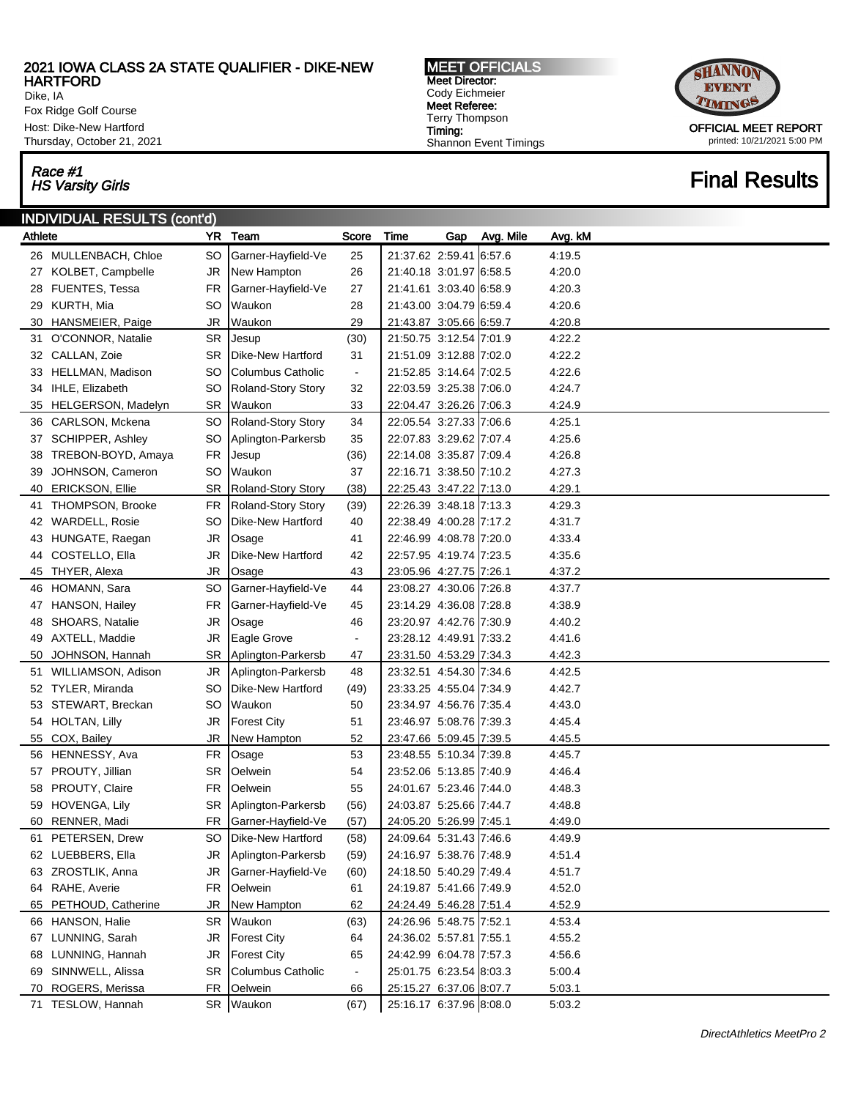Fox Ridge Golf Course Host: Dike-New Hartford

Thursday, October 21, 2021

# Race #1<br>HS Varsity Girls

### INDIVIDUAL RESULTS (cont'd)

| Athlete |                        |               | YR Team                   | Score          | Time                    | Gap | Avg. Mile | Avg. kM |
|---------|------------------------|---------------|---------------------------|----------------|-------------------------|-----|-----------|---------|
|         | 26 MULLENBACH, Chloe   | <sub>SO</sub> | Garner-Hayfield-Ve        | 25             | 21:37.62 2:59.41 6:57.6 |     |           | 4:19.5  |
|         | 27 KOLBET, Campbelle   | <b>JR</b>     | New Hampton               | 26             | 21:40.18 3:01.97 6:58.5 |     |           | 4:20.0  |
|         | 28 FUENTES, Tessa      | FR            | Garner-Hayfield-Ve        | 27             | 21:41.61 3:03.40 6:58.9 |     |           | 4:20.3  |
|         | 29 KURTH, Mia          | SO.           | Waukon                    | 28             | 21:43.00 3:04.79 6:59.4 |     |           | 4:20.6  |
|         | 30 HANSMEIER, Paige    | JR            | Waukon                    | 29             | 21:43.87 3:05.66 6:59.7 |     |           | 4:20.8  |
|         | 31 O'CONNOR, Natalie   | <b>SR</b>     | Jesup                     | (30)           | 21:50.75 3:12.54 7:01.9 |     |           | 4:22.2  |
|         | 32 CALLAN, Zoie        | <b>SR</b>     | Dike-New Hartford         | 31             | 21:51.09 3:12.88 7:02.0 |     |           | 4:22.2  |
|         | 33 HELLMAN, Madison    | <b>SO</b>     | <b>Columbus Catholic</b>  | $\blacksquare$ | 21:52.85 3:14.64 7:02.5 |     |           | 4:22.6  |
|         | 34 IHLE, Elizabeth     | <b>SO</b>     | <b>Roland-Story Story</b> | 32             | 22:03.59 3:25.38 7:06.0 |     |           | 4:24.7  |
|         | 35 HELGERSON, Madelyn  | <b>SR</b>     | Waukon                    | 33             | 22:04.47 3:26.26 7:06.3 |     |           | 4:24.9  |
|         | 36 CARLSON, Mckena     | <b>SO</b>     | Roland-Story Story        | 34             | 22:05.54 3:27.33 7:06.6 |     |           | 4.25.1  |
|         | 37 SCHIPPER, Ashley    | <b>SO</b>     | Aplington-Parkersb        | 35             | 22:07.83 3:29.62 7:07.4 |     |           | 4:25.6  |
|         | 38 TREBON-BOYD, Amaya  | <b>FR</b>     | Jesup                     | (36)           | 22:14.08 3:35.87 7:09.4 |     |           | 4:26.8  |
| 39      | JOHNSON, Cameron       | <b>SO</b>     | Waukon                    | 37             | 22:16.71 3:38.50 7:10.2 |     |           | 4:27.3  |
|         | 40 ERICKSON, Ellie     | SR            | <b>Roland-Story Story</b> | (38)           | 22:25.43 3:47.22 7:13.0 |     |           | 4:29.1  |
|         | 41 THOMPSON, Brooke    | <b>FR</b>     | <b>Roland-Story Story</b> | (39)           | 22:26.39 3:48.18 7:13.3 |     |           | 4:29.3  |
|         | 42 WARDELL, Rosie      | <b>SO</b>     | Dike-New Hartford         | 40             | 22:38.49 4:00.28 7:17.2 |     |           | 4:31.7  |
|         | 43 HUNGATE, Raegan     | JR            | Osage                     | 41             | 22:46.99 4:08.78 7:20.0 |     |           | 4:33.4  |
|         | 44 COSTELLO, Ella      | JR            | Dike-New Hartford         | 42             | 22:57.95 4:19.74 7:23.5 |     |           | 4:35.6  |
| 45      | THYER, Alexa           | JR            | Osage                     | 43             | 23:05.96 4:27.75 7:26.1 |     |           | 4:37.2  |
|         | 46 HOMANN, Sara        | SO            | Garner-Hayfield-Ve        | 44             | 23:08.27 4:30.06 7:26.8 |     |           | 4:37.7  |
|         | 47 HANSON, Hailey      | FR.           | Garner-Hayfield-Ve        | 45             | 23:14.29 4:36.08 7:28.8 |     |           | 4:38.9  |
| 48      | <b>SHOARS, Natalie</b> | JR            | Osage                     | 46             | 23:20.97 4:42.76 7:30.9 |     |           | 4:40.2  |
| 49      | AXTELL, Maddie         | JR            | Eagle Grove               | ۰              | 23:28.12 4:49.91 7:33.2 |     |           | 4:41.6  |
| 50      | JOHNSON, Hannah        | <b>SR</b>     | Aplington-Parkersb        | 47             | 23:31.50 4:53.29 7:34.3 |     |           | 4:42.3  |
|         | 51 WILLIAMSON, Adison  | <b>JR</b>     | Aplington-Parkersb        | 48             | 23:32.51 4:54.30 7:34.6 |     |           | 4:42.5  |
|         | 52 TYLER, Miranda      | SO.           | <b>Dike-New Hartford</b>  | (49)           | 23:33.25 4:55.04 7:34.9 |     |           | 4:42.7  |
|         | 53 STEWART, Breckan    | SO.           | Waukon                    | 50             | 23:34.97 4:56.76 7:35.4 |     |           | 4:43.0  |
|         | 54 HOLTAN, Lilly       | JR            | <b>Forest City</b>        | 51             | 23:46.97 5:08.76 7:39.3 |     |           | 4:45.4  |
|         | 55 COX, Bailey         | JR            | New Hampton               | 52             | 23:47.66 5:09.45 7:39.5 |     |           | 4:45.5  |
|         | 56 HENNESSY, Ava       | <b>FR</b>     | Osage                     | 53             | 23:48.55 5:10.34 7:39.8 |     |           | 4:45.7  |
|         | 57 PROUTY, Jillian     | <b>SR</b>     | Oelwein                   | 54             | 23:52.06 5:13.85 7:40.9 |     |           | 4:46.4  |
|         | 58 PROUTY, Claire      | FR            | Oelwein                   | 55             | 24:01.67 5:23.46 7:44.0 |     |           | 4:48.3  |
|         | 59 HOVENGA, Lily       | SR            | Aplington-Parkersb        | (56)           | 24:03.87 5:25.66 7:44.7 |     |           | 4:48.8  |
|         | 60 RENNER, Madi        | FR            | Garner-Hayfield-Ve        | (57)           | 24:05.20 5:26.99 7:45.1 |     |           | 4:49.0  |
|         | 61 PETERSEN, Drew      | SO            | Dike-New Hartford         | (58)           | 24:09.64 5:31.43 7:46.6 |     |           | 4:49.9  |
|         | 62 LUEBBERS, Ella      | JR            | Aplington-Parkersb        | (59)           | 24:16.97 5:38.76 7:48.9 |     |           | 4:51.4  |
|         | 63 ZROSTLIK, Anna      | <b>JR</b>     | Garner-Hayfield-Ve        | (60)           | 24:18.50 5:40.29 7:49.4 |     |           | 4:51.7  |
|         | 64 RAHE, Averie        | FR            | Oelwein                   | 61             | 24:19.87 5:41.66 7:49.9 |     |           | 4:52.0  |
|         | 65 PETHOUD, Catherine  | <b>JR</b>     | New Hampton               | 62             | 24:24.49 5:46.28 7:51.4 |     |           | 4:52.9  |
|         | 66 HANSON, Halie       | <b>SR</b>     | Waukon                    | (63)           | 24:26.96 5:48.75 7:52.1 |     |           | 4:53.4  |
|         | 67 LUNNING, Sarah      | <b>JR</b>     | <b>Forest City</b>        | 64             | 24:36.02 5:57.81 7:55.1 |     |           | 4:55.2  |
|         | 68 LUNNING, Hannah     | JR            | <b>Forest City</b>        | 65             | 24:42.99 6:04.78 7:57.3 |     |           | 4:56.6  |
|         | 69 SINNWELL, Alissa    | SR            | Columbus Catholic         | $\blacksquare$ | 25:01.75 6:23.54 8:03.3 |     |           | 5:00.4  |
|         | 70 ROGERS, Merissa     | FR            | Oelwein                   | 66             | 25:15.27 6:37.06 8:07.7 |     |           | 5:03.1  |
|         | 71 TESLOW, Hannah      |               | SR   Waukon               | (67)           | 25:16.17 6:37.96 8:08.0 |     |           | 5:03.2  |

MEET OFFICIALS Meet Director: Cody Eichmeier Meet Referee: Terry Thompson Timing: Shannon Event Timings



printed: 10/21/2021 5:00 PM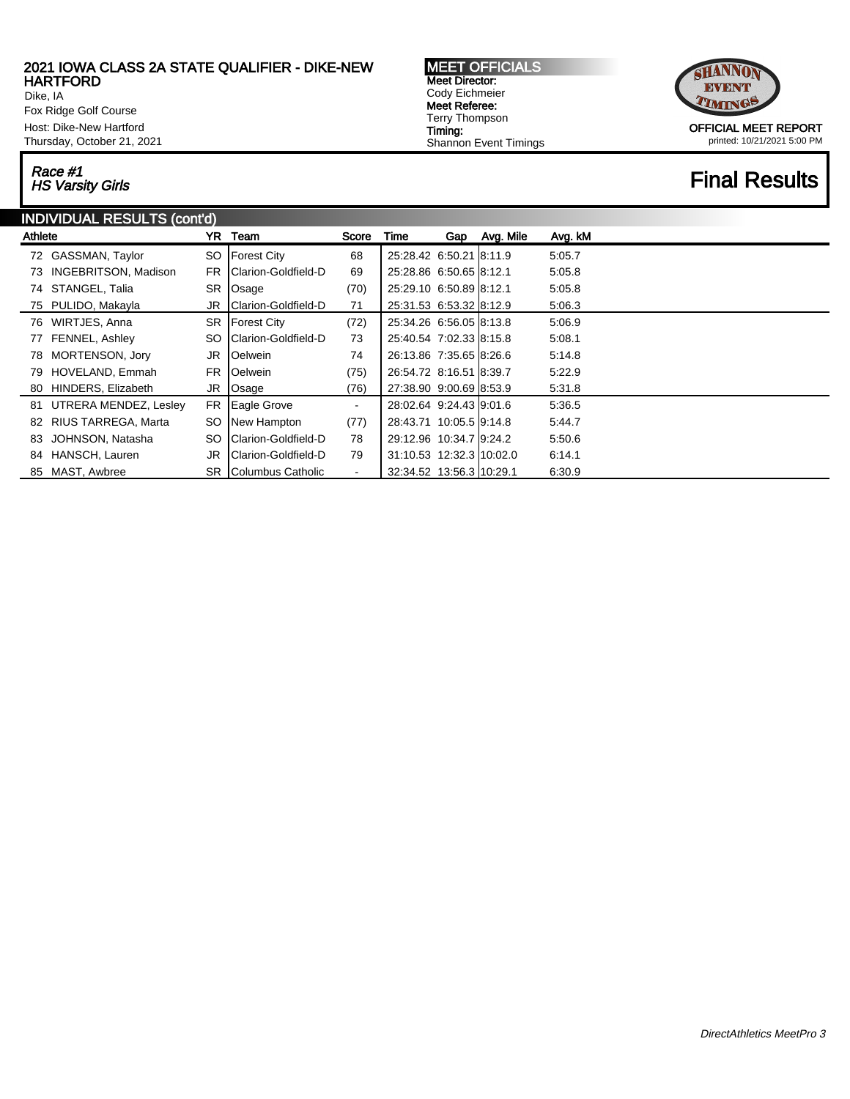Fox Ridge Golf Course Host: Dike-New Hartford

Thursday, October 21, 2021

# Race #1<br>HS Varsity Girls

| <b>INDIVIDUAL RESULTS (cont'd)</b> |                          |     |                             |       |                          |     |           |         |  |  |
|------------------------------------|--------------------------|-----|-----------------------------|-------|--------------------------|-----|-----------|---------|--|--|
| Athlete                            |                          |     | YR Team                     | Score | Time                     | Gap | Avg. Mile | Avg. kM |  |  |
|                                    | 72 GASSMAN, Taylor       |     | SO   Forest City            | 68    | 25:28.42 6:50.21 8:11.9  |     |           | 5:05.7  |  |  |
|                                    | 73 INGEBRITSON, Madison  | FR. | <b>IClarion-Goldfield-D</b> | 69    | 25:28.86 6:50.65 8:12.1  |     |           | 5:05.8  |  |  |
|                                    | 74 STANGEL, Talia        | SR  | <b>Osage</b>                | (70)  | 25:29.10 6:50.89 8:12.1  |     |           | 5:05.8  |  |  |
|                                    | 75 PULIDO, Makayla       |     | JR Clarion-Goldfield-D      | 71    | 25:31.53 6:53.32 8:12.9  |     |           | 5:06.3  |  |  |
|                                    | 76 WIRTJES, Anna         |     | <b>SR</b>   Forest City     | (72)  | 25:34.26 6:56.05 8:13.8  |     |           | 5:06.9  |  |  |
| 77                                 | FENNEL, Ashley           | SO. | <b>IClarion-Goldfield-D</b> | 73    | 25:40.54 7:02.33 8:15.8  |     |           | 5:08.1  |  |  |
|                                    | 78 MORTENSON, Jory       | JR  | <b>Oelwein</b>              | 74    | 26:13.86 7:35.65 8:26.6  |     |           | 5.14.8  |  |  |
|                                    | 79 HOVELAND, Emmah       | FR. | <b>Oelwein</b>              | (75)  | 26:54.72 8:16.51 8:39.7  |     |           | 5:22.9  |  |  |
|                                    | 80 HINDERS, Elizabeth    |     | JR   Osage                  | (76)  | 27:38.90 9:00.69 8:53.9  |     |           | 5.31.8  |  |  |
|                                    | 81 UTRERA MENDEZ, Lesley |     | FR Eagle Grove              | ۰     | 28:02.64 9:24.43 9:01.6  |     |           | 5:36.5  |  |  |
|                                    | 82 RIUS TARREGA, Marta   | SO. | New Hampton                 | (77)  | 28:43.71 10:05.5 9:14.8  |     |           | 5:44.7  |  |  |
|                                    | 83 JOHNSON, Natasha      | SO. | <b>IClarion-Goldfield-D</b> | 78    | 29:12.96 10:34.7 9:24.2  |     |           | 5.50.6  |  |  |
|                                    | 84 HANSCH, Lauren        | JR  | <b>IClarion-Goldfield-D</b> | 79    | 31:10.53 12:32.3 10:02.0 |     |           | 6:14.1  |  |  |
|                                    | 85 MAST, Awbree          |     | <b>SR</b> Columbus Catholic | ۰     | 32:34.52 13:56.3 10:29.1 |     |           | 6:30.9  |  |  |

MEET OFFICIALS Meet Director: Cody Eichmeier Meet Referee: Terry Thompson Timing: Shannon Event Timings



OFFICIAL MEET REPORT printed: 10/21/2021 5:00 PM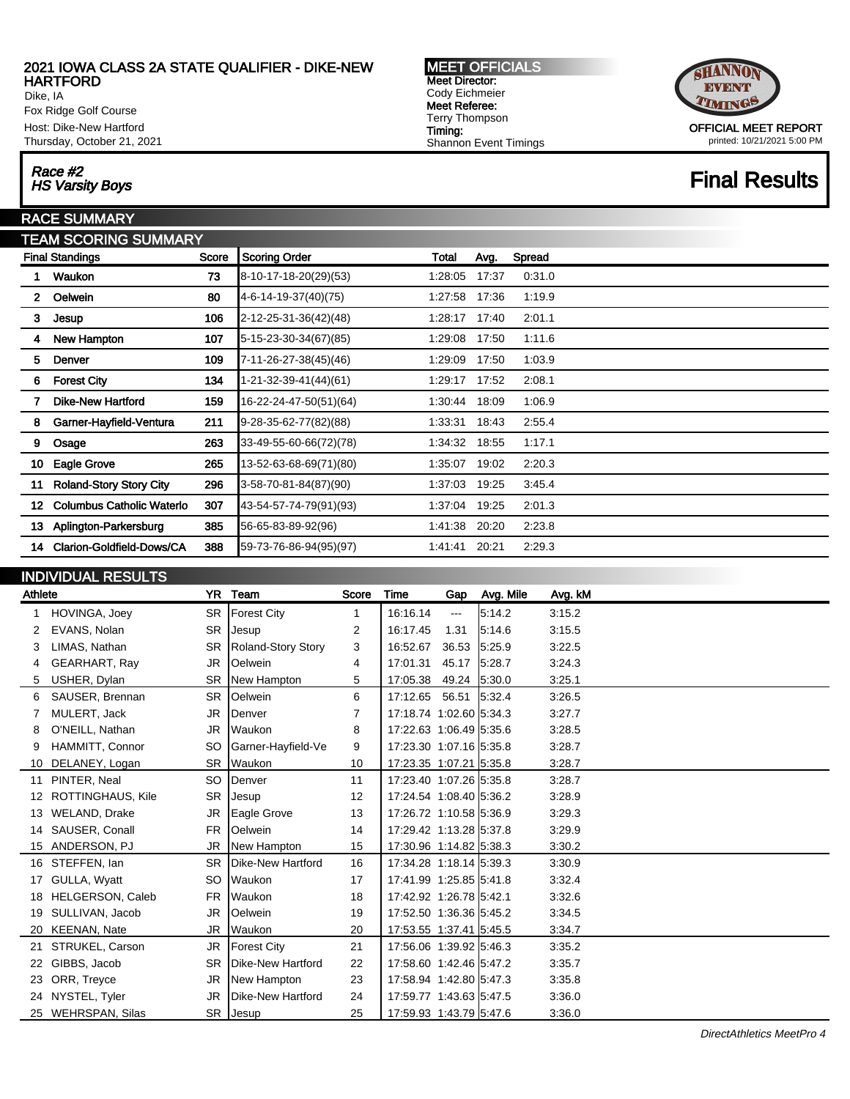Dike, IA Fox Ridge Golf Course Host: Dike-New Hartford

Thursday, October 21, 2021

# Race #2<br>HS Varsity Boys

### RACE SUMMARY TEAM SCORING SUMMARY

|    | <b>Final Standings</b>           | Score | <b>Scoring Order</b>            | Total   | Avg.  | Spread |
|----|----------------------------------|-------|---------------------------------|---------|-------|--------|
|    | Waukon                           | 73    | 8-10-17-18-20(29)(53)           | 1:28:05 | 17:37 | 0:31.0 |
| 2. | Oelwein                          | 80    | 4-6-14-19-37(40)(75)            | 1:27:58 | 17:36 | 1:19.9 |
| 3. | Jesup                            | 106   | $2 - 12 - 25 - 31 - 36(42)(48)$ | 1:28:17 | 17:40 | 2:01.1 |
| 4  | New Hampton                      | 107   | 5-15-23-30-34(67)(85)           | 1:29:08 | 17:50 | 1:11.6 |
| 5  | Denver                           | 109   | 7-11-26-27-38(45)(46)           | 1:29:09 | 17:50 | 1:03.9 |
| 6  | <b>Forest City</b>               | 134   | 1-21-32-39-41(44)(61)           | 1:29:17 | 17:52 | 2:08.1 |
|    | <b>Dike-New Hartford</b>         | 159   | 16-22-24-47-50(51)(64)          | 1:30:44 | 18:09 | 1:06.9 |
| 8  | Garner-Hayfield-Ventura          | 211   | 9-28-35-62-77(82)(88)           | 1:33:31 | 18:43 | 2:55.4 |
| 9  | Osage                            | 263   | 33-49-55-60-66(72)(78)          | 1:34:32 | 18:55 | 1:17.1 |
| 10 | Eagle Grove                      | 265   | 13-52-63-68-69(71)(80)          | 1:35:07 | 19:02 | 2:20.3 |
| 11 | <b>Roland-Story Story City</b>   | 296   | 3-58-70-81-84(87)(90)           | 1:37:03 | 19:25 | 3:45.4 |
| 12 | <b>Columbus Catholic Waterlo</b> | 307   | 43-54-57-74-79(91)(93)          | 1:37:04 | 19:25 | 2:01.3 |
| 13 | Aplington-Parkersburg            | 385   | 56-65-83-89-92(96)              | 1:41:38 | 20:20 | 2:23.8 |
| 14 | Clarion-Goldfield-Dows/CA        | 388   | 59-73-76-86-94(95)(97)          | 1:41:41 | 20:21 | 2:29.3 |

#### INDIVIDUAL RESULTS

| Athlete |                         |           | YR Team                  | Score          | Time                    | Gap                      | Avg. Mile | Avg. kM |
|---------|-------------------------|-----------|--------------------------|----------------|-------------------------|--------------------------|-----------|---------|
|         | HOVINGA, Joev           | <b>SR</b> | Forest City              | 1              | 16:16.14                | $\overline{\phantom{a}}$ | 5:14.2    | 3:15.2  |
| 2       | EVANS, Nolan            | <b>SR</b> | Jesup                    | 2              | 16:17.45                | 1.31                     | 5:14.6    | 3:15.5  |
| 3       | LIMAS, Nathan           | <b>SR</b> | Roland-Story Story       | 3              | 16:52.67                | 36.53                    | 5:25.9    | 3.22.5  |
| 4       | <b>GEARHART, Ray</b>    | JR        | Oelwein                  | 4              | 17:01.31                | 45.17                    | 5:28.7    | 3.24.3  |
| 5       | USHER, Dylan            | <b>SR</b> | New Hampton              | 5              | 17:05.38                | 49.24 5:30.0             |           | 3:25.1  |
| 6       | SAUSER, Brennan         | <b>SR</b> | <b>Oelwein</b>           | 6              | 17:12.65                | 56.51 5:32.4             |           | 3.26.5  |
|         | MULERT, Jack            | JR.       | Denver                   | $\overline{7}$ | 17:18.74 1:02.60 5:34.3 |                          |           | 3.27.7  |
| 8       | O'NEILL, Nathan         | JR.       | <b>Waukon</b>            | 8              | 17:22.63 1:06.49 5:35.6 |                          |           | 3.28.5  |
| 9       | HAMMITT, Connor         | <b>SO</b> | Garner-Hayfield-Ve       | 9              | 17:23.30 1:07.16 5:35.8 |                          |           | 3.28.7  |
| 10      | DELANEY, Logan          | <b>SR</b> | Waukon                   | 10             | 17:23.35 1:07.21 5:35.8 |                          |           | 3.28.7  |
| 11      | PINTER, Neal            | <b>SO</b> | Denver                   | 11             | 17:23.40 1:07.26 5:35.8 |                          |           | 3.28.7  |
|         | ROTTINGHAUS, Kile       | <b>SR</b> | Jesup                    | 12             | 17:24.54 1:08.40 5:36.2 |                          |           | 3:28.9  |
| 13      | WELAND, Drake           | JR.       | Eagle Grove              | 13             | 17:26.72 1:10.58 5:36.9 |                          |           | 3.29.3  |
| 14      | SAUSER, Conall          | <b>FR</b> | Oelwein                  | 14             | 17:29.42 1:13.28 5:37.8 |                          |           | 3:29.9  |
|         | 15 ANDERSON, PJ         | JR        | New Hampton              | 15             | 17:30.96 1:14.82 5:38.3 |                          |           | 3:30.2  |
| 16      | STEFFEN, Ian            | <b>SR</b> | Dike-New Hartford        | 16             | 17:34.28 1:18.14 5:39.3 |                          |           | 3.30.9  |
| 17      | GULLA, Wyatt            | <b>SO</b> | <b>Waukon</b>            | 17             | 17:41.99 1:25.85 5:41.8 |                          |           | 3.32.4  |
| 18      | <b>HELGERSON, Caleb</b> | FR.       | <b>Waukon</b>            | 18             | 17:42.92 1:26.78 5:42.1 |                          |           | 3:32.6  |
| 19      | SULLIVAN, Jacob         | JR.       | Oelwein                  | 19             | 17:52.50 1:36.36 5:45.2 |                          |           | 3:34.5  |
| 20      | <b>KEENAN, Nate</b>     | JR        | I Waukon                 | 20             | 17:53.55 1:37.41 5:45.5 |                          |           | 3.34.7  |
| 21      | STRUKEL, Carson         | JR.       | Forest City              | 21             | 17:56.06 1:39.92 5:46.3 |                          |           | 3:35.2  |
| 22      | GIBBS, Jacob            | <b>SR</b> | Dike-New Hartford        | 22             | 17:58.60 1:42.46 5:47.2 |                          |           | 3:35.7  |
| 23      | ORR, Treyce             | JR.       | New Hampton              | 23             | 17:58.94 1:42.80 5:47.3 |                          |           | 3.35.8  |
| 24      | NYSTEL, Tyler           | JR.       | <b>Dike-New Hartford</b> | 24             | 17:59.77 1:43.63 5:47.5 |                          |           | 3.36.0  |
|         | 25 WEHRSPAN, Silas      |           | SR Jesup                 | 25             | 17:59.93 1:43.79 5:47.6 |                          |           | 3:36.0  |

MEET OFFICIALS Meet Director: Cody Eichmeier Meet Referee: Terry Thompson Timing: Shannon Event Timings



OFFICIAL MEET REPORT printed: 10/21/2021 5:00 PM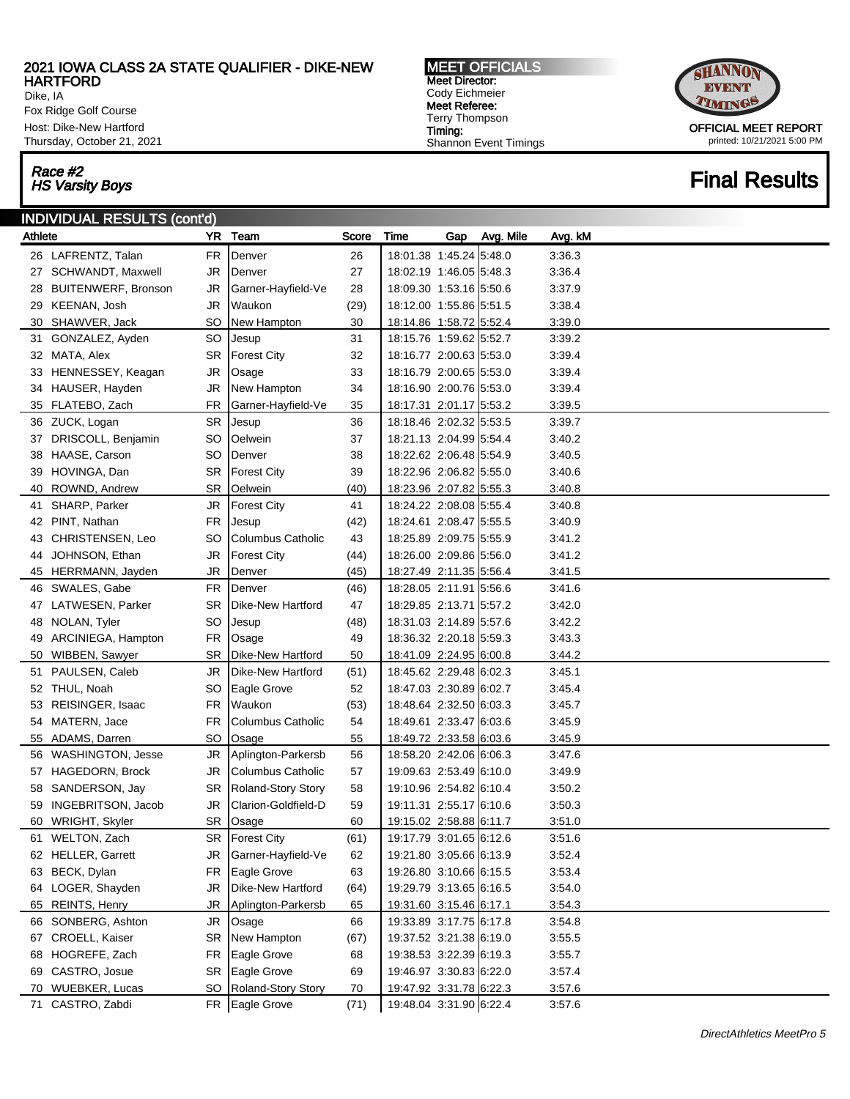Fox Ridge Golf Course Host: Dike-New Hartford

Thursday, October 21, 2021

# Race #2<br>HS Varsity Boys

#### INDIVIDUAL RESULTS (cont'd)

| Athlete |                            | YR        | Team                      | Score | Time                    | Gap | Avg. Mile | Avg. kM |
|---------|----------------------------|-----------|---------------------------|-------|-------------------------|-----|-----------|---------|
|         | 26 LAFRENTZ, Talan         | FR        | Denver                    | 26    | 18:01.38 1:45.24 5:48.0 |     |           | 3:36.3  |
| 27      | SCHWANDT, Maxwell          | <b>JR</b> | Denver                    | 27    | 18:02.19 1:46.05 5:48.3 |     |           | 3:36.4  |
| 28      | <b>BUITENWERF, Bronson</b> | JR        | Garner-Hayfield-Ve        | 28    | 18:09.30 1:53.16 5:50.6 |     |           | 3:37.9  |
| 29      | KEENAN, Josh               | JR        | Waukon                    | (29)  | 18:12.00 1:55.86 5:51.5 |     |           | 3:38.4  |
| 30      | SHAWVER, Jack              | <b>SO</b> | New Hampton               | 30    | 18:14.86 1:58.72 5:52.4 |     |           | 3:39.0  |
| 31      | GONZALEZ, Ayden            | <b>SO</b> | Jesup                     | 31    | 18:15.76 1:59.62 5:52.7 |     |           | 3:39.2  |
|         | 32 MATA, Alex              | <b>SR</b> | <b>Forest City</b>        | 32    | 18:16.77 2:00.63 5:53.0 |     |           | 3:39.4  |
| 33      | HENNESSEY, Keagan          | <b>JR</b> | Osage                     | 33    | 18:16.79 2:00.65 5:53.0 |     |           | 3:39.4  |
| 34      | HAUSER, Hayden             | <b>JR</b> | New Hampton               | 34    | 18:16.90 2:00.76 5:53.0 |     |           | 3:39.4  |
| 35      | FLATEBO, Zach              | FR.       | Garner-Hayfield-Ve        | 35    | 18:17.31 2:01.17 5:53.2 |     |           | 3:39.5  |
|         | 36 ZUCK, Logan             | <b>SR</b> | Jesup                     | 36    | 18:18.46 2:02.32 5:53.5 |     |           | 3:39.7  |
| 37      | DRISCOLL, Benjamin         | <b>SO</b> | Oelwein                   | 37    | 18:21.13 2:04.99 5:54.4 |     |           | 3:40.2  |
| 38      | HAASE, Carson              | SO        | Denver                    | 38    | 18:22.62 2:06.48 5:54.9 |     |           | 3:40.5  |
| 39      | HOVINGA, Dan               | <b>SR</b> | <b>Forest City</b>        | 39    | 18:22.96 2:06.82 5:55.0 |     |           | 3:40.6  |
| 40      | ROWND, Andrew              | <b>SR</b> | Oelwein                   | (40)  | 18:23.96 2:07.82 5:55.3 |     |           | 3:40.8  |
| 41      | SHARP, Parker              | <b>JR</b> | <b>Forest City</b>        | 41    | 18.24.22 2:08.08 5:55.4 |     |           | 3:40.8  |
| 42      | PINT, Nathan               | FR        | Jesup                     | (42)  | 18:24.61 2:08.47 5:55.5 |     |           | 3:40.9  |
| 43      | CHRISTENSEN, Leo           | SO        | <b>Columbus Catholic</b>  | 43    | 18:25.89 2:09.75 5:55.9 |     |           | 3:41.2  |
| 44      | JOHNSON, Ethan             | JR        | <b>Forest City</b>        | (44)  | 18.26.00 2:09.86 5:56.0 |     |           | 3:41.2  |
|         | 45 HERRMANN, Jayden        | JR        | Denver                    | (45)  | 18:27.49 2:11.35 5:56.4 |     |           | 3:41.5  |
|         | 46 SWALES, Gabe            | FR.       | Denver                    | (46)  | 18:28.05 2:11.91 5:56.6 |     |           | 3:41.6  |
| 47      | LATWESEN, Parker           | <b>SR</b> | Dike-New Hartford         | 47    | 18:29.85 2:13.71 5:57.2 |     |           | 3:42.0  |
| 48      | NOLAN, Tyler               | <b>SO</b> | Jesup                     | (48)  | 18:31.03 2:14.89 5:57.6 |     |           | 3:42.2  |
| 49      | ARCINIEGA, Hampton         | FR.       | Osage                     | 49    | 18:36.32 2:20.18 5:59.3 |     |           | 3:43.3  |
| 50      | WIBBEN, Sawyer             | SR        | Dike-New Hartford         | 50    | 18:41.09 2:24.95 6:00.8 |     |           | 3:44.2  |
| 51      | PAULSEN, Caleb             | <b>JR</b> | Dike-New Hartford         | (51)  | 18:45.62 2:29.48 6:02.3 |     |           | 3:45.1  |
| 52      | THUL, Noah                 | <b>SO</b> | Eagle Grove               | 52    | 18:47.03 2:30.89 6:02.7 |     |           | 3:45.4  |
| 53      | REISINGER, Isaac           | FR        | Waukon                    | (53)  | 18:48.64 2:32.50 6:03.3 |     |           | 3:45.7  |
| 54      | MATERN, Jace               | FR        | <b>Columbus Catholic</b>  | 54    | 18:49.61 2:33.47 6:03.6 |     |           | 3:45.9  |
| 55      | ADAMS, Darren              | <b>SO</b> | Osage                     | 55    | 18:49.72 2:33.58 6:03.6 |     |           | 3:45.9  |
|         | 56 WASHINGTON, Jesse       | <b>JR</b> | Aplington-Parkersb        | 56    | 18:58.20 2:42.06 6:06.3 |     |           | 3:47.6  |
| 57      | HAGEDORN, Brock            | JR        | <b>Columbus Catholic</b>  | 57    | 19:09.63 2:53.49 6:10.0 |     |           | 3:49.9  |
| 58      | SANDERSON, Jay             | SR        | <b>Roland-Story Story</b> | 58    | 19:10.96 2:54.82 6:10.4 |     |           | 3:50.2  |
| 59      | INGEBRITSON, Jacob         | JR        | Clarion-Goldfield-D       | 59    | 19:11.31 2:55.17 6:10.6 |     |           | 3:50.3  |
| 60.     | WRIGHT, Skyler             | <b>SR</b> | Osage                     | 60    | 19:15.02 2:58.88 6:11.7 |     |           | 3:51.0  |
|         | 61 WELTON, Zach            | SR        | <b>Forest City</b>        | (61)  | 19:17.79 3:01.65 6:12.6 |     |           | 3:51.6  |
|         | 62 HELLER, Garrett         | JR        | Garner-Hayfield-Ve        | 62    | 19:21.80 3:05.66 6:13.9 |     |           | 3:52.4  |
|         | 63 BECK, Dylan             | FR        | Eagle Grove               | 63    | 19:26.80 3:10.66 6:15.5 |     |           | 3:53.4  |
| 64      | LOGER, Shayden             | <b>JR</b> | Dike-New Hartford         | (64)  | 19:29.79 3:13.65 6:16.5 |     |           | 3:54.0  |
|         | 65 REINTS, Henry           | JR        | Aplington-Parkersb        | 65    | 19:31.60 3:15.46 6:17.1 |     |           | 3:54.3  |
|         | 66 SONBERG, Ashton         | JR        | Osage                     | 66    | 19:33.89 3:17.75 6:17.8 |     |           | 3:54.8  |
| 67      | CROELL, Kaiser             | <b>SR</b> | New Hampton               | (67)  | 19:37.52 3:21.38 6:19.0 |     |           | 3:55.5  |
| 68      | HOGREFE, Zach              | FR        | Eagle Grove               | 68    | 19:38.53 3:22.39 6:19.3 |     |           | 3:55.7  |
| 69      | CASTRO, Josue              | <b>SR</b> | Eagle Grove               | 69    | 19:46.97 3:30.83 6:22.0 |     |           | 3:57.4  |
| 70      | <b>WUEBKER, Lucas</b>      | <b>SO</b> | Roland-Story Story        | 70    | 19:47.92 3:31.78 6:22.3 |     |           | 3:57.6  |
|         | 71 CASTRO, Zabdi           | FR        | Eagle Grove               | (71)  | 19:48.04 3:31.90 6:22.4 |     |           | 3:57.6  |
|         |                            |           |                           |       |                         |     |           |         |

MEET OFFICIALS Meet Director: Cody Eichmeier Meet Referee: Terry Thompson Timing: Shannon Event Timings



OFFICIAL MEET REPORT printed: 10/21/2021 5:00 PM